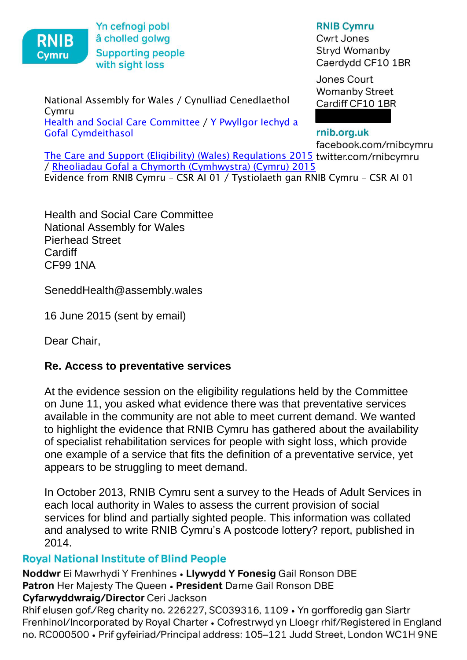

[Gofal Cymdeithasol](http://www.senedd.cynulliad.cymru/mgCommitteeDetails.aspx?ID=227)

 $\mathcal{R}_1$  is a sign of the sight loss of the sight loss of the sight loss of the sight loss of the sight loss of the sight loss of the sight loss of the sight loss of the sight loss of the sight loss of the sight loss of Yn cefnogi pobl<br>RNIB å cholled golwg  $\blacksquare$  KNID  $\blacksquare$  Choned going with sight loss

## National Assembly for Wales / Cynulliad Cenedlaethol Cymru [Health and Social Care Committee](http://www.senedd.assembly.wales/mgCommitteeDetails.aspx?ID=227) / Y Pwyllgor Iechyd a

**RNIB Cymru** 

**Cwrt Jones Stryd Womanby** Caerdydd CF10 1BR

Jones Court **Womanby Street** Cardiff CF10 1BR

## rnib.org.uk

facebook.com/rnibcymru [The Care and Support \(Eligibility\) \(Wales\) Regulations 2015](http://www.senedd.assembly.wales/mgConsultationDisplay.aspx?ID=177)twitter.com/rnibcymru / [Rheoliadau Gofal a Chymorth \(Cymhwystra\) \(Cymru\) 2015](http://www.senedd.cynulliad.cymru/mgConsultationDisplay.aspx?ID=177) Evidence from RNIB Cymru – CSR AI 01 / Tystiolaeth gan RNIB Cymru – CSR AI 01

Health and Social Care Committee National Assembly for Wales Pierhead Street **Cardiff** CF99 1NA

SeneddHealth@assembly.wales

16 June 2015 (sent by email)

Dear Chair,

## **Re. Access to preventative services**

At the evidence session on the eligibility regulations held by the Committee on June 11, you asked what evidence there was that preventative services available in the community are not able to meet current demand. We wanted to highlight the evidence that RNIB Cymru has gathered about the availability of specialist rehabilitation services for people with sight loss, which provide one example of a service that fits the definition of a preventative service, yet appears to be struggling to meet demand.

In October 2013, RNIB Cymru sent a survey to the Heads of Adult Services in each local authority in Wales to assess the current provision of social services for blind and partially sighted people. This information was collated and analysed to write RNIB Cymru's A postcode lottery? report, published in 2014.

Royal National Institute of Blind People Noddwr Ei Mawrhydi Y Frenhines. Llywydd Y Fonesig Gail Ronson DBE. Patron Her Majesty The Queen • President Dame Gail Ronson DBE<br>Cyfarwyddwraig/Director Ceri Jackson

Rhif elusen gof./Reg charity no. 226227, SC039316, 1109 • Yn gorfforedig gan Siartr Frenhinol/Incorporated by Royal Charter . Cofrestrwyd yn Lloegr rhif/Registered in England Frenhinol/Incorporated by Royal Charter. Cofrestrwyd yn Lloegr rhif/Registered in England no. RC000500. Prif gyfeiriad/Principal address: 105–121 Judd Street, London